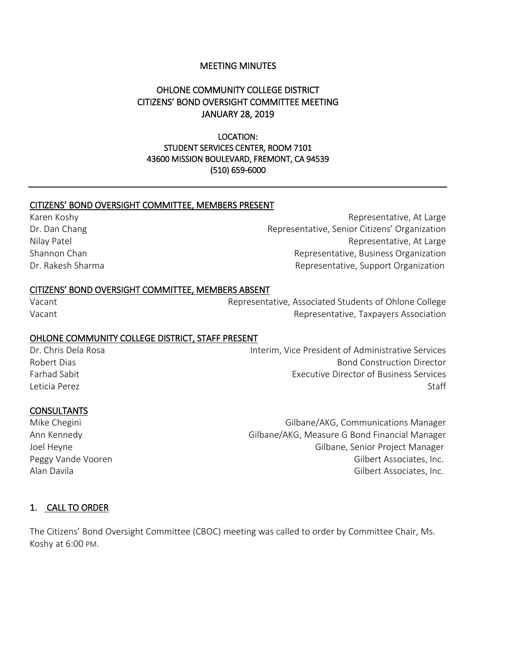### MEETING MINUTES

# OHLONE COMMUNITY COLLEGE DISTRICT CITIZENS' BOND OVERSIGHT COMMITTEE MEETING JANUARY 28, 2019

LOCATION: STUDENT SERVICES CENTER, ROOM 7101 43600 MISSION BOULEVARD, FREMONT, CA 94539 (510) 659-6000

### CITIZENS' BOND OVERSIGHT COMMITTEE, MEMBERS PRESENT

Karen Koshy **Representative, At Large** Dr. Dan Chang Representative, Senior Citizens' Organization Nilay Patel **Nilay Patel** Representative, At Large Shannon Chan **Representative, Business Organization** Dr. Rakesh Sharma **Representative, Support Organization** 

#### CITIZENS' BOND OVERSIGHT COMMITTEE, MEMBERS ABSENT

Vacant Representative, Associated Students of Ohlone College Vacant **Access 2012** Vacant Representative, Taxpayers Association

#### OHLONE COMMUNITY COLLEGE DISTRICT, STAFF PRESENT

Dr. Chris Dela Rosa Interim, Vice President of Administrative Services Robert Dias Bond Construction Director Farhad Sabit Executive Director of Business Services Leticia Perez Staff States and States and States and States and States and States and States and States and States and States and States and States and States and States and States and States and States and States and Stat

#### CONSULTANTS

Mike Chegini Gilbane/AKG, Communications Manager Ann Kennedy **Gilbane/AKG, Measure G Bond Financial Manager** G Gilbane/AKG, Measure G Bond Financial Manager Joel Heyne Gilbane, Senior Project Manager Peggy Vande Vooren Gilbert Associates, Inc. Alan Davila Gilbert Associates, Inc.

#### 1. CALL TO ORDER

The Citizens' Bond Oversight Committee (CBOC) meeting was called to order by Committee Chair, Ms. Koshy at 6:00 PM.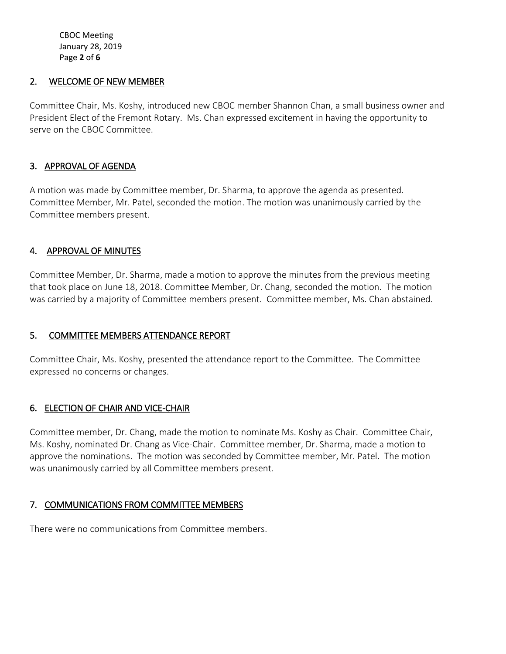CBOC Meeting January 28, 2019 Page **2** of **6**

## 2. WELCOME OF NEW MEMBER

Committee Chair, Ms. Koshy, introduced new CBOC member Shannon Chan, a small business owner and President Elect of the Fremont Rotary. Ms. Chan expressed excitement in having the opportunity to serve on the CBOC Committee.

## 3. APPROVAL OF AGENDA

A motion was made by Committee member, Dr. Sharma, to approve the agenda as presented. Committee Member, Mr. Patel, seconded the motion. The motion was unanimously carried by the Committee members present.

# 4. APPROVAL OF MINUTES

Committee Member, Dr. Sharma, made a motion to approve the minutes from the previous meeting that took place on June 18, 2018. Committee Member, Dr. Chang, seconded the motion. The motion was carried by a majority of Committee members present. Committee member, Ms. Chan abstained.

# 5. COMMITTEE MEMBERS ATTENDANCE REPORT

Committee Chair, Ms. Koshy, presented the attendance report to the Committee. The Committee expressed no concerns or changes.

# 6. ELECTION OF CHAIR AND VICE-CHAIR

Committee member, Dr. Chang, made the motion to nominate Ms. Koshy as Chair. Committee Chair, Ms. Koshy, nominated Dr. Chang as Vice-Chair. Committee member, Dr. Sharma, made a motion to approve the nominations. The motion was seconded by Committee member, Mr. Patel. The motion was unanimously carried by all Committee members present.

# 7. COMMUNICATIONS FROM COMMITTEE MEMBERS

There were no communications from Committee members.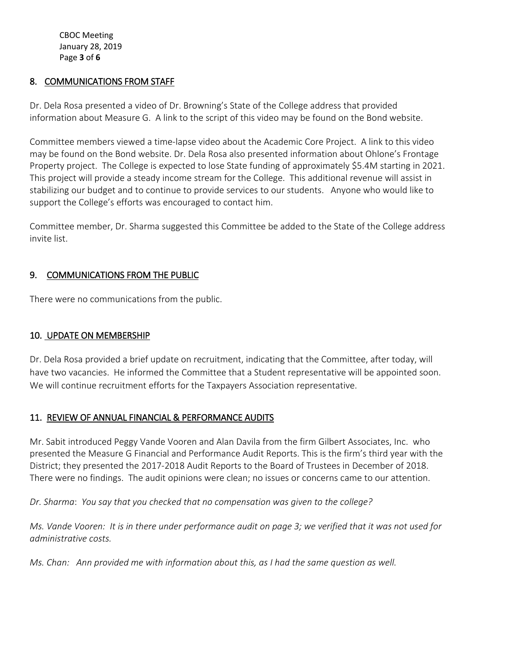CBOC Meeting January 28, 2019 Page **3** of **6**

# 8. COMMUNICATIONS FROM STAFF

Dr. Dela Rosa presented a video of Dr. Browning's State of the College address that provided information about Measure G. A link to the script of this video may be found on the Bond website.

Committee members viewed a time-lapse video about the Academic Core Project. A link to this video may be found on the Bond website. Dr. Dela Rosa also presented information about Ohlone's Frontage Property project. The College is expected to lose State funding of approximately \$5.4M starting in 2021. This project will provide a steady income stream for the College. This additional revenue will assist in stabilizing our budget and to continue to provide services to our students. Anyone who would like to support the College's efforts was encouraged to contact him.

Committee member, Dr. Sharma suggested this Committee be added to the State of the College address invite list.

## 9. COMMUNICATIONS FROM THE PUBLIC

There were no communications from the public.

### 10. UPDATE ON MEMBERSHIP

Dr. Dela Rosa provided a brief update on recruitment, indicating that the Committee, after today, will have two vacancies. He informed the Committee that a Student representative will be appointed soon. We will continue recruitment efforts for the Taxpayers Association representative.

### 11. REVIEW OF ANNUAL FINANCIAL & PERFORMANCE AUDITS

Mr. Sabit introduced Peggy Vande Vooren and Alan Davila from the firm Gilbert Associates, Inc. who presented the Measure G Financial and Performance Audit Reports. This is the firm's third year with the District; they presented the 2017-2018 Audit Reports to the Board of Trustees in December of 2018. There were no findings. The audit opinions were clean; no issues or concerns came to our attention.

*Dr. Sharma*: *You say that you checked that no compensation was given to the college?*

*Ms. Vande Vooren: It is in there under performance audit on page 3; we verified that it was not used for administrative costs.*

*Ms. Chan: Ann provided me with information about this, as I had the same question as well.*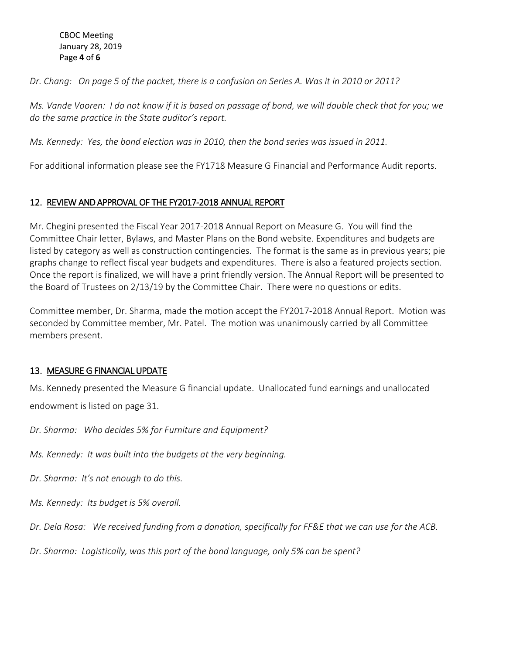#### CBOC Meeting January 28, 2019 Page **4** of **6**

*Dr. Chang: On page 5 of the packet, there is a confusion on Series A. Was it in 2010 or 2011?* 

*Ms. Vande Vooren: I do not know if it is based on passage of bond, we will double check that for you; we do the same practice in the State auditor's report.* 

*Ms. Kennedy: Yes, the bond election was in 2010, then the bond series was issued in 2011.* 

For additional information please see the FY1718 Measure G Financial and Performance Audit reports.

# 12. REVIEW AND APPROVAL OF THE FY2017-2018 ANNUAL REPORT

Mr. Chegini presented the Fiscal Year 2017-2018 Annual Report on Measure G. You will find the Committee Chair letter, Bylaws, and Master Plans on the Bond website. Expenditures and budgets are listed by category as well as construction contingencies. The format is the same as in previous years; pie graphs change to reflect fiscal year budgets and expenditures. There is also a featured projects section. Once the report is finalized, we will have a print friendly version. The Annual Report will be presented to the Board of Trustees on 2/13/19 by the Committee Chair. There were no questions or edits.

Committee member, Dr. Sharma, made the motion accept the FY2017-2018 Annual Report. Motion was seconded by Committee member, Mr. Patel. The motion was unanimously carried by all Committee members present.

# 13. MEASURE G FINANCIAL UPDATE

Ms. Kennedy presented the Measure G financial update. Unallocated fund earnings and unallocated endowment is listed on page 31.

*Dr. Sharma: Who decides 5% for Furniture and Equipment?* 

*Ms. Kennedy: It was built into the budgets at the very beginning.* 

*Dr. Sharma: It's not enough to do this.* 

*Ms. Kennedy: Its budget is 5% overall.* 

*Dr. Dela Rosa: We received funding from a donation, specifically for FF&E that we can use for the ACB.* 

*Dr. Sharma: Logistically, was this part of the bond language, only 5% can be spent?*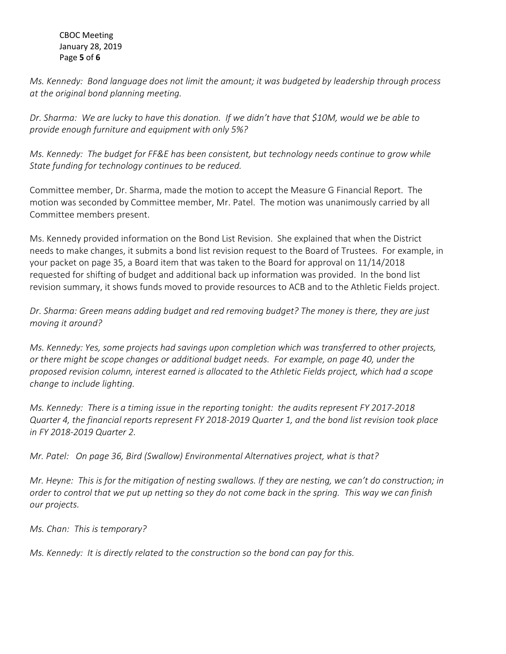### CBOC Meeting January 28, 2019 Page **5** of **6**

*Ms. Kennedy: Bond language does not limit the amount; it was budgeted by leadership through process at the original bond planning meeting.* 

*Dr. Sharma: We are lucky to have this donation. If we didn't have that \$10M, would we be able to provide enough furniture and equipment with only 5%?*

*Ms. Kennedy: The budget for FF&E has been consistent, but technology needs continue to grow while State funding for technology continues to be reduced.*

Committee member, Dr. Sharma, made the motion to accept the Measure G Financial Report. The motion was seconded by Committee member, Mr. Patel. The motion was unanimously carried by all Committee members present.

Ms. Kennedy provided information on the Bond List Revision. She explained that when the District needs to make changes, it submits a bond list revision request to the Board of Trustees. For example, in your packet on page 35, a Board item that was taken to the Board for approval on 11/14/2018 requested for shifting of budget and additional back up information was provided. In the bond list revision summary, it shows funds moved to provide resources to ACB and to the Athletic Fields project.

*Dr. Sharma: Green means adding budget and red removing budget? The money is there, they are just moving it around?* 

*Ms. Kennedy: Yes, some projects had savings upon completion which was transferred to other projects, or there might be scope changes or additional budget needs. For example, on page 40, under the proposed revision column, interest earned is allocated to the Athletic Fields project, which had a scope change to include lighting.* 

*Ms. Kennedy: There is a timing issue in the reporting tonight: the audits represent FY 2017-2018 Quarter 4, the financial reports represent FY 2018-2019 Quarter 1, and the bond list revision took place in FY 2018-2019 Quarter 2.* 

*Mr. Patel: On page 36, Bird (Swallow) Environmental Alternatives project, what is that?*

*Mr. Heyne: This is for the mitigation of nesting swallows. If they are nesting, we can't do construction; in order to control that we put up netting so they do not come back in the spring. This way we can finish our projects.* 

*Ms. Chan: This is temporary?*

*Ms. Kennedy: It is directly related to the construction so the bond can pay for this.*